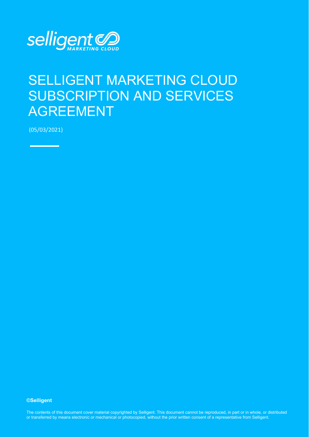

# SELLIGENT MARKETING CLOUD SUBSCRIPTION AND SERVICES AGREEMENT

(05/03/2021)

**©Selligent** 

The contents of this document cover material copyrighted by Selligent. This document cannot be reproduced, in part or in whole, or distributed or transferred by means electronic or mechanical or photocopied, without the prior written consent of a representative from Selligent.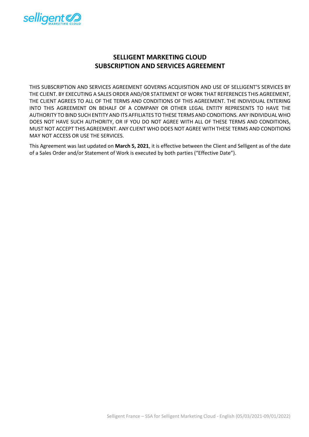

# **SELLIGENT MARKETING CLOUD SUBSCRIPTION AND SERVICES AGREEMENT**

THIS SUBSCRIPTION AND SERVICES AGREEMENT GOVERNS ACQUISITION AND USE OF SELLIGENT'S SERVICES BY THE CLIENT. BY EXECUTING A SALES ORDER AND/OR STATEMENT OF WORK THAT REFERENCES THIS AGREEMENT, THE CLIENT AGREES TO ALL OF THE TERMS AND CONDITIONS OF THIS AGREEMENT. THE INDIVIDUAL ENTERING INTO THIS AGREEMENT ON BEHALF OF A COMPANY OR OTHER LEGAL ENTITY REPRESENTS TO HAVE THE AUTHORITY TO BIND SUCH ENTITY AND ITS AFFILIATES TO THESE TERMS AND CONDITIONS. ANY INDIVIDUAL WHO DOES NOT HAVE SUCH AUTHORITY, OR IF YOU DO NOT AGREE WITH ALL OF THESE TERMS AND CONDITIONS, MUST NOT ACCEPT THIS AGREEMENT. ANY CLIENT WHO DOES NOT AGREE WITH THESE TERMS AND CONDITIONS MAY NOT ACCESS OR USE THE SERVICES.

This Agreement was last updated on **March 5, 2021**, it is effective between the Client and Selligent as of the date of a Sales Order and/or Statement of Work is executed by both parties ("Effective Date").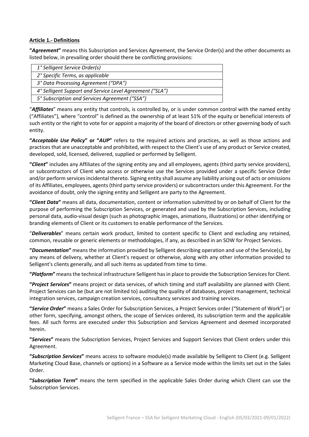#### **Article 1.- Definitions**

**"***Agreement***"** means this Subscription and Services Agreement, the Service Order(s) and the other documents as listed below, in prevailing order should there be conflicting provisions:

| 1° Selligent Service Order(s)                            |
|----------------------------------------------------------|
| 2° Specific Terms, as applicable                         |
| 3° Data Processing Agreement ("DPA")                     |
| 4° Selligent Support and Service Level Agreement ("SLA") |
| 5° Subscription and Services Agreement ("SSA")           |
|                                                          |

"*Affiliates*" means any entity that controls, is controlled by, or is under common control with the named entity ("Affiliates"), where "control" is defined as the ownership of at least 51% of the equity or beneficial interests of such entity or the right to vote for or appoint a majority of the board of directors or other governing body of such entity.

**"***Acceptable Use Policy***" or "***AUP***"** refers to the required actions and practices, as well as those actions and practices that are unacceptable and prohibited, with respect to the Client's use of any product or Service created, developed, sold, licensed, delivered, supplied or performed by Selligent.

**"***Client***"** includes any Affiliates of the signing entity any and all employees, agents (third party service providers), or subcontractors of Client who access or otherwise use the Services provided under a specific Service Order and/or perform services incidental thereto. Signing entity shall assume any liability arising out of acts or omissions of its Affiliates, employees, agents (third party service providers) or subcontractors under this Agreement. For the avoidance of doubt, only the signing entity and Selligent are party to the Agreement.

**"***Client Data***"** means all data, documentation, content or information submitted by or on behalf of Client for the purpose of performing the Subscription Services, or generated and used by the Subscription Services, including personal data, audio-visual design (such as photographic images, animations, illustrations) or other identifying or branding elements of Client or its customers to enable performance of the Services.

"*Deliverables*" means certain work product, limited to content specific to Client and excluding any retained, common, reusable or generic elements or methodologies, if any, as described in an SOW for Project Services.

**"***Documentation***"** means the information provided by Selligent describing operation and use of the Service(s), by any means of delivery, whether at Client's request or otherwise, along with any other information provided to Selligent's clients generally, and all such items as updated from time to time.

**"***Platform***"** means the technical infrastructure Selligent has in place to provide the Subscription Servicesfor Client.

**"***Project Services***"** means project or data services, of which timing and staff availability are planned with Client. Project Services can be (but are not limited to) auditing the quality of databases, project management, technical integration services, campaign creation services, consultancy services and training services.

**"***Service Order***"** means a Sales Order for Subscription Services, a Project Services order ("Statement of Work") or other form, specifying, amongst others, the scope of Services ordered, its subscription term and the applicable fees. All such forms are executed under this Subscription and Services Agreement and deemed incorporated herein.

**"***Services***"** means the Subscription Services, Project Services and Support Services that Client orders under this Agreement.

**"***Subscription Services***"** means access to software module(s) made available by Selligent to Client (e.g. Selligent Marketing Cloud Base, channels or options) in a Software as a Service mode within the limits set out in the Sales Order.

**"***Subscription Term***"** means the term specified in the applicable Sales Order during which Client can use the Subscription Services.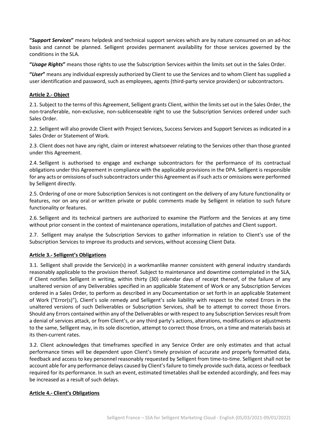**"***Support Services***"** means helpdesk and technical support services which are by nature consumed on an ad-hoc basis and cannot be planned. Selligent provides permanent availability for those services governed by the conditions in the SLA.

**"***Usage Rights***"** means those rights to use the Subscription Services within the limits set out in the Sales Order.

**"***User***"** means any individual expressly authorized by Client to use the Services and to whom Client has supplied a user identification and password, such as employees, agents (third-party service providers) or subcontractors.

# **Article 2.- Object**

2.1. Subject to the terms of this Agreement, Selligent grants Client, within the limits set out in the Sales Order, the non-transferable, non-exclusive, non-sublicenseable right to use the Subscription Services ordered under such Sales Order.

2.2. Selligent will also provide Client with Project Services, Success Services and Support Services as indicated in a Sales Order or Statement of Work.

2.3. Client does not have any right, claim or interest whatsoever relating to the Services other than those granted under this Agreement.

2.4. Selligent is authorised to engage and exchange subcontractors for the performance of its contractual obligations under this Agreement in compliance with the applicable provisions in the DPA. Selligent is responsible for any acts or omissions of such subcontractors under this Agreement as if such acts or omissions were performed by Selligent directly.

2.5. Ordering of one or more Subscription Services is not contingent on the delivery of any future functionality or features, nor on any oral or written private or public comments made by Selligent in relation to such future functionality or features.

2.6. Selligent and its technical partners are authorized to examine the Platform and the Services at any time without prior consent in the context of maintenance operations, installation of patches and Client support.

2.7. Selligent may analyse the Subscription Services to gather information in relation to Client's use of the Subscription Services to improve its products and services, without accessing Client Data.

#### **Article 3.- Selligent's Obligations**

3.1. Selligent shall provide the Service(s) in a workmanlike manner consistent with general industry standards reasonably applicable to the provision thereof. Subject to maintenance and downtime contemplated in the SLA, if Client notifies Selligent in writing, within thirty (30) calendar days of receipt thereof, of the failure of any unaltered version of any Deliverables specified in an applicable Statement of Work or any Subscription Services ordered in a Sales Order, to perform as described in any Documentation or set forth in an applicable Statement of Work ("Error(s)"), Client's sole remedy and Selligent's sole liability with respect to the noted Errors in the unaltered versions of such Deliverables or Subscription Services, shall be to attempt to correct those Errors. Should any Errors contained within any of the Deliverables or with respect to any Subscription Services result from a denial of services attack, or from Client's, or any third party's actions, alterations, modifications or adjustments to the same, Selligent may, in its sole discretion, attempt to correct those Errors, on a time and materials basis at its then-current rates.

3.2. Client acknowledges that timeframes specified in any Service Order are only estimates and that actual performance times will be dependent upon Client's timely provision of accurate and properly formatted data, feedback and access to key personnel reasonably requested by Selligent from time-to-time. Selligent shall not be account able for any performance delays caused by Client's failure to timely provide such data, access or feedback required for its performance. In such an event, estimated timetables shall be extended accordingly, and fees may be increased as a result of such delays.

#### **Article 4.- Client's Obligations**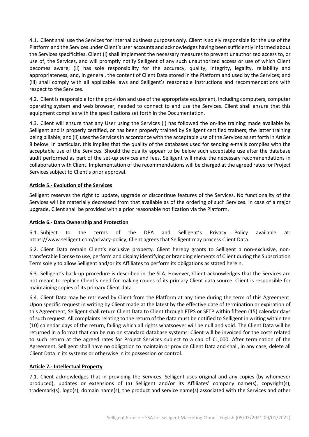4.1. Client shall use the Services for internal business purposes only. Client is solely responsible for the use of the Platform and the Services under Client's user accounts and acknowledges having been sufficiently informed about the Services specificities. Client (i) shall implement the necessary measures to prevent unauthorized access to, or use of, the Services, and will promptly notify Selligent of any such unauthorized access or use of which Client becomes aware; (ii) has sole responsibility for the accuracy, quality, integrity, legality, reliability and appropriateness, and, in general, the content of Client Data stored in the Platform and used by the Services; and (iii) shall comply with all applicable laws and Selligent's reasonable instructions and recommendations with respect to the Services.

4.2. Client is responsible for the provision and use of the appropriate equipment, including computers, computer operating system and web browser, needed to connect to and use the Services. Client shall ensure that this equipment complies with the specifications set forth in the Documentation.

4.3. Client will ensure that any User using the Services (i) has followed the on-line training made available by Selligent and is properly certified, or has been properly trained by Selligent certified trainers, the latter training being billable; and (ii) uses the Services in accordance with the acceptable use of the Services as set forth in Article 8 below. In particular, this implies that the quality of the databases used for sending e-mails complies with the acceptable use of the Services. Should the quality appear to be below such acceptable use after the database audit performed as part of the set-up services and fees, Selligent will make the necessary recommendations in collaboration with Client. Implementation of the recommendations will be charged at the agreed rates for Project Services subject to Client's prior approval.

# **Article 5.- Evolution of the Services**

Selligent reserves the right to update, upgrade or discontinue features of the Services. No functionality of the Services will be materially decreased from that available as of the ordering of such Services. In case of a major upgrade, Client shall be provided with a prior reasonable notification via the Platform.

#### **Article 6.- Data Ownership and Protection**

6.1. Subject to the terms of the DPA and Selligent's Privacy Policy available at: [https://www.selligent.com/privacy-policy,](https://www.selligent.com/privacy-policy) Client agrees that Selligent may process Client Data.

6.2. Client Data remain Client's exclusive property. Client hereby grants to Selligent a non-exclusive, nontransferable license to use, perform and display identifying or branding elements of Client during the Subscription Term solely to allow Selligent and/or its Affiliates to perform its obligations as stated herein.

6.3. Selligent's back-up procedure is described in the SLA. However, Client acknowledges that the Services are not meant to replace Client's need for making copies of its primary Client data source. Client is responsible for maintaining copies of its primary Client data.

6.4. Client Data may be retrieved by Client from the Platform at any time during the term of this Agreement. Upon specific request in writing by Client made at the latest by the effective date of termination or expiration of this Agreement, Selligent shall return Client Data to Client through FTPS or SFTP within fifteen (15) calendar days of such request. All complaints relating to the return of the data must be notified to Selligent in writing within ten (10) calendar days of the return, failing which all rights whatsoever will be null and void. The Client Data will be returned in a format that can be run on standard database systems. Client will be invoiced for the costs related to such return at the agreed rates for Project Services subject to a cap of €1,000. After termination of the Agreement, Selligent shall have no obligation to maintain or provide Client Data and shall, in any case, delete all Client Data in its systems or otherwise in its possession or control.

#### **Article 7.- Intellectual Property**

7.1. Client acknowledges that in providing the Services, Selligent uses original and any copies (by whomever produced), updates or extensions of (a) Selligent and/or its Affiliates' company name(s), copyright(s), trademark(s), logo(s), domain name(s), the product and service name(s) associated with the Services and other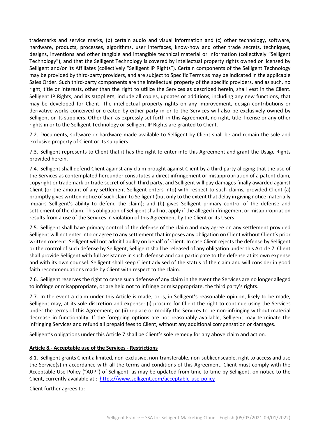trademarks and service marks, (b) certain audio and visual information and (c) other technology, software, hardware, products, processes, algorithms, user interfaces, know-how and other trade secrets, techniques, designs, inventions and other tangible and intangible technical material or information (collectively "Selligent Technology"), and that the Selligent Technology is covered by intellectual property rights owned or licensed by Selligent and/or its Affiliates (collectively "Selligent IP Rights"). Certain components of the Selligent Technology may be provided by third-party providers, and are subject to Specific Terms as may be indicated in the applicable Sales Order. Such third-party components are the intellectual property of the specific providers, and as such, no right, title or interests, other than the right to utilize the Services as described herein, shall vest in the Client. Selligent IP Rights, and its suppliers, include all copies, updates or additions, including any new functions, that may be developed for Client. The intellectual property rights on any improvement, design contributions or derivative works conceived or created by either party in or to the Services will also be exclusively owned by Selligent or its suppliers. Other than as expressly set forth in this Agreement, no right, title, license or any other rights in or to the Selligent Technology or Selligent IP Rights are granted to Client.

7.2. Documents, software or hardware made available to Selligent by Client shall be and remain the sole and exclusive property of Client or its suppliers.

7.3. Selligent represents to Client that it has the right to enter into this Agreement and grant the Usage Rights provided herein.

7.4. Selligent shall defend Client against any claim brought against Client by a third party alleging that the use of the Services as contemplated hereunder constitutes a direct infringement or misappropriation of a patent claim, copyright or trademark or trade secret of such third party, and Selligent will pay damages finally awarded against Client (or the amount of any settlement Selligent enters into) with respect to such claims, provided Client (a) promptly gives written notice of such claim to Selligent (but only to the extent that delay in giving notice materially impairs Selligent's ability to defend the claim); and (b) gives Selligent primary control of the defense and settlement of the claim. This obligation of Selligent shall not apply if the alleged infringement or misappropriation results from a use of the Services in violation of this Agreement by the Client or its Users.

7.5. Selligent shall have primary control of the defense of the claim and may agree on any settlement provided Selligent will not enter into or agree to any settlement that imposes any obligation on Client without Client's prior written consent. Selligent will not admit liability on behalf of Client. In case Client rejects the defense by Selligent or the control of such defense by Selligent, Selligent shall be released of any obligation under this Article 7. Client shall provide Selligent with full assistance in such defense and can participate to the defense at its own expense and with its own counsel. Selligent shall keep Client advised of the status of the claim and will consider in good faith recommendations made by Client with respect to the claim.

7.6. Selligent reserves the right to cease such defense of any claim in the event the Services are no longer alleged to infringe or misappropriate, or are held not to infringe or misappropriate, the third party's rights.

7.7. In the event a claim under this Article is made, or is, in Selligent's reasonable opinion, likely to be made, Selligent may, at its sole discretion and expense: (i) procure for Client the right to continue using the Services under the terms of this Agreement; or (ii) replace or modify the Services to be non-infringing without material decrease in functionality. If the foregoing options are not reasonably available, Selligent may terminate the infringing Services and refund all prepaid fees to Client, without any additional compensation or damages.

Selligent's obligations under this Article 7 shall be Client's sole remedy for any above claim and action.

#### **Article 8.- Acceptable use of the Services - Restrictions**

8.1. Selligent grants Client a limited, non-exclusive, non-transferable, non-sublicenseable, right to access and use the Service(s) in accordance with all the terms and conditions of this Agreement. Client must comply with the Acceptable Use Policy ("AUP") of Selligent, as may be updated from time-to-time by Selligent, on notice to the Client, currently available at : <https://www.selligent.com/acceptable-use-policy>

Client further agrees to: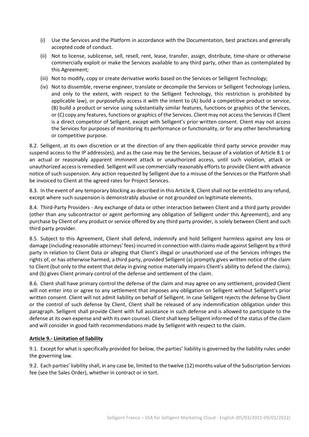- (i) Use the Services and the Platform in accordance with the Documentation, best practices and generally accepted code of conduct.
- (ii) Not to license, sublicense, sell, resell, rent, lease, transfer, assign, distribute, time-share or otherwise commercially exploit or make the Services available to any third party, other than as contemplated by this Agreement;
- (iii) Not to modify, copy or create derivative works based on the Services or Selligent Technology;
- (iv) Not to dissemble, reverse engineer, translate or decompile the Services or Selligent Technology (unless, and only to the extent, with respect to the Selligent Technology, this restriction is prohibited by applicable law), or purposefully access it with the intent to (A) build a competitive product or service, (B) build a product or service using substantially similar features, functions or graphics of the Services, or (C) copy any features, functions or graphics of the Services. Client may not access the Services if Client is a direct competitor of Selligent, except with Selligent's prior written consent. Client may not access the Services for purposes of monitoring its performance or functionality, or for any other benchmarking or competitive purpose.

8.2. Selligent, at its own discretion or at the direction of any then-applicable third party service provider may suspend access to the IP address(es), and as the case may be the Services, because of a violation of Article 8.1 or an actual or reasonably apparent imminent attack or unauthorized access, until such violation, attack or unauthorized access is remedied. Selligent will use commercially reasonably efforts to provide Client with advance notice of such suspension. Any action requested by Selligent due to a misuse of the Services or the Platform shall be invoiced to Client at the agreed rates for Project Services.

8.3. In the event of any temporary blocking as described in this Article 8, Client shall not be entitled to any refund, except where such suspension is demonstrably abusive or not grounded on legitimate elements.

8.4. Third-Party Providers - Any exchange of data or other interaction between Client and a third party provider (other than any subcontractor or agent performing any obligation of Selligent under this Agreement), and any purchase by Client of any product or service offered by any third party provider, is solely between Client and such third party provider.

8.5. Subject to this Agreement, Client shall defend, indemnify and hold Selligent harmless against any loss or damage (including reasonable attorneys' fees) incurred in connection with claims made against Selligent by a third party in relation to Client Data or alleging that Client's illegal or unauthorized use of the Services infringes the rights of, or has otherwise harmed, a third party, provided Selligent (a) promptly gives written notice of the claim to Client (but only to the extent that delay in giving notice materially impairs Client's ability to defend the claims); and (b) gives Client primary control of the defense and settlement of the claim.

8.6. Client shall have primary control the defense of the claim and may agree on any settlement, provided Client will not enter into or agree to any settlement that imposes any obligation on Selligent without Selligent's prior written consent. Client will not admit liability on behalf of Selligent. In case Selligent rejects the defense by Client or the control of such defense by Client, Client shall be released of any indemnification obligation under this paragraph. Selligent shall provide Client with full assistance in such defense and is allowed to participate to the defense at its own expense and with its own counsel. Client shall keep Selligent informed of the status of the claim and will consider in good faith recommendations made by Selligent with respect to the claim.

# **Article 9.- Limitation of liability**

9.1. Except for what is specifically provided for below, the parties' liability is governed by the liability rules under the governing law.

9.2. Each parties' liability shall, in any case be, limited to the twelve (12) months value of the Subscription Services fee (see the Sales Order), whether in contract or in tort.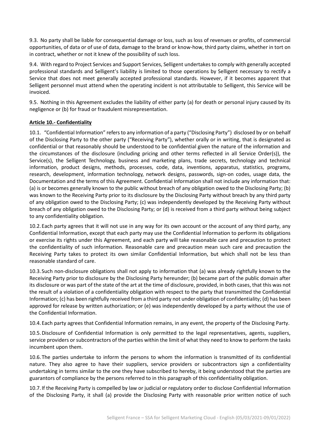9.3. No party shall be liable for consequential damage or loss, such as loss of revenues or profits, of commercial opportunities, of data or of use of data, damage to the brand or know-how, third party claims, whether in tort on in contract, whether or not it knew of the possibility of such loss.

9.4. With regard to Project Services and Support Services, Selligent undertakes to comply with generally accepted professional standards and Selligent's liability is limited to those operations by Selligent necessary to rectify a Service that does not meet generally accepted professional standards. However, if it becomes apparent that Selligent personnel must attend when the operating incident is not attributable to Selligent, this Service will be invoiced.

9.5. Nothing in this Agreement excludes the liability of either party (a) for death or personal injury caused by its negligence or (b) for fraud or fraudulent misrepresentation.

#### **Article 10.- Confidentiality**

10.1. "Confidential Information" refers to any information of a party ("Disclosing Party") disclosed by or on behalf of the Disclosing Party to the other party ("Receiving Party"), whether orally or in writing, that is designated as confidential or that reasonably should be understood to be confidential given the nature of the information and the circumstances of the disclosure (including pricing and other terms reflected in all Service Order(s)), the Service(s), the Selligent Technology, business and marketing plans, trade secrets, technology and technical information, product designs, methods, processes, code, data, inventions, apparatus, statistics, programs, research, development, information technology, network designs, passwords, sign-on codes, usage data, the Documentation and the terms of this Agreement. Confidential Information shall not include any information that: (a) is or becomes generally known to the public without breach of any obligation owed to the Disclosing Party; (b) was known to the Receiving Party prior to its disclosure by the Disclosing Party without breach by any third party of any obligation owed to the Disclosing Party; (c) was independently developed by the Receiving Party without breach of any obligation owed to the Disclosing Party; or (d) is received from a third party without being subject to any confidentiality obligation.

10.2.Each party agrees that it will not use in any way for its own account or the account of any third party, any Confidential Information, except that each party may use the Confidential Information to perform its obligations or exercise its rights under this Agreement, and each party will take reasonable care and precaution to protect the confidentiality of such information. Reasonable care and precaution mean such care and precaution the Receiving Party takes to protect its own similar Confidential Information, but which shall not be less than reasonable standard of care.

10.3.Such non-disclosure obligations shall not apply to information that (a) was already rightfully known to the Receiving Party prior to disclosure by the Disclosing Party hereunder; (b) became part of the public domain after its disclosure or was part of the state of the art at the time of disclosure, provided, in both cases, that this was not the result of a violation of a confidentiality obligation with respect to the party that transmitted the Confidential Information; (c) has been rightfully received from a third party not under obligation of confidentiality; (d) has been approved for release by written authorization; or (e) was independently developed by a party without the use of the Confidential Information.

10.4.Each party agrees that Confidential Information remains, in any event, the property of the Disclosing Party.

10.5.Disclosure of Confidential Information is only permitted to the legal representatives, agents, suppliers, service providers or subcontractors of the parties within the limit of what they need to know to perform the tasks incumbent upon them.

10.6.The parties undertake to inform the persons to whom the information is transmitted of its confidential nature. They also agree to have their suppliers, service providers or subcontractors sign a confidentiality undertaking in terms similar to the one they have subscribed to hereby, it being understood that the parties are guarantors of compliance by the persons referred to in this paragraph of this confidentiality obligation.

10.7.If the Receiving Party is compelled by law or judicial or regulatory order to disclose Confidential Information of the Disclosing Party, it shall (a) provide the Disclosing Party with reasonable prior written notice of such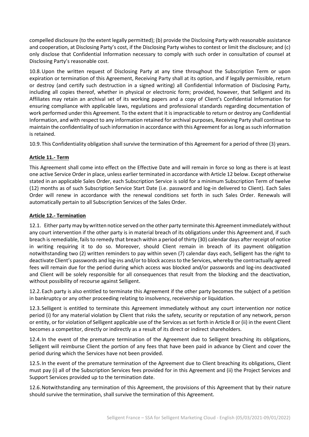compelled disclosure (to the extent legally permitted); (b) provide the Disclosing Party with reasonable assistance and cooperation, at Disclosing Party's cost, if the Disclosing Party wishes to contest or limit the disclosure; and (c) only disclose that Confidential Information necessary to comply with such order in consultation of counsel at Disclosing Party's reasonable cost.

10.8.Upon the written request of Disclosing Party at any time throughout the Subscription Term or upon expiration or termination of this Agreement, Receiving Party shall at its option, and if legally permissible, return or destroy (and certify such destruction in a signed writing) all Confidential Information of Disclosing Party, including all copies thereof, whether in physical or electronic form; provided, however, that Selligent and its Affiliates may retain an archival set of its working papers and a copy of Client's Confidential Information for ensuring compliance with applicable laws, regulations and professional standards regarding documentation of work performed under this Agreement. To the extent that it is impracticable to return or destroy any Confidential Information, and with respect to any information retained for archival purposes, Receiving Party shall continue to maintain the confidentiality of such information in accordance with this Agreement for as long as such information is retained.

10.9.This Confidentiality obligation shall survive the termination of this Agreement for a period of three (3) years.

# **Article 11.- Term**

This Agreement shall come into effect on the Effective Date and will remain in force so long as there is at least one active Service Order in place, unless earlier terminated in accordance with Article 12 below. Except otherwise stated in an applicable Sales Order, each Subscription Service is sold for a minimum Subscription Term of twelve (12) months as of such Subscription Service Start Date (i.e. password and log-in delivered to Client). Each Sales Order will renew in accordance with the renewal conditions set forth in such Sales Order. Renewals will automatically pertain to all Subscription Services of the Sales Order.

## **Article 12.- Termination**

12.1. Either party may by written notice served on the other party terminate this Agreement immediately without any court intervention if the other party is in material breach of its obligations under this Agreement and, if such breach is remediable, fails to remedy that breach within a period of thirty (30) calendar days after receipt of notice in writing requiring it to do so. Moreover, should Client remain in breach of its payment obligation notwithstanding two (2) written reminders to pay within seven (7) calendar days each, Selligent has the right to deactivate Client's passwords and log-ins and/or to block access to the Services, whereby the contractually agreed fees will remain due for the period during which access was blocked and/or passwords and log-ins deactivated and Client will be solely responsible for all consequences that result from the blocking and the deactivation, without possibility of recourse against Selligent.

12.2.Each party is also entitled to terminate this Agreement if the other party becomes the subject of a petition in bankruptcy or any other proceeding relating to insolvency, receivership or liquidation.

12.3.Selligent is entitled to terminate this Agreement immediately without any court intervention nor notice period (i) for any material violation by Client that risks the safety, security or reputation of any network, person or entity, or for violation of Selligent applicable use of the Services as set forth in Article 8 or (ii) in the event Client becomes a competitor, directly or indirectly as a result of its direct or indirect shareholders.

12.4.In the event of the premature termination of the Agreement due to Selligent breaching its obligations, Selligent will reimburse Client the portion of any fees that have been paid in advance by Client and cover the period during which the Services have not been provided.

12.5.In the event of the premature termination of the Agreement due to Client breaching its obligations, Client must pay (i) all of the Subscription Services fees provided for in this Agreement and (ii) the Project Services and Support Services provided up to the termination date.

12.6.Notwithstanding any termination of this Agreement, the provisions of this Agreement that by their nature should survive the termination, shall survive the termination of this Agreement.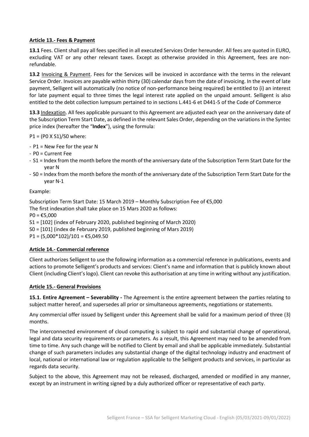## **Article 13.- Fees & Payment**

**13.1** Fees. Client shall pay all fees specified in all executed Services Order hereunder. All fees are quoted in EURO, excluding VAT or any other relevant taxes. Except as otherwise provided in this Agreement, fees are nonrefundable.

**13.2** Invoicing & Payment. Fees for the Services will be invoiced in accordance with the terms in the relevant Service Order. Invoices are payable within thirty (30) calendar days from the date of invoicing. In the event of late payment, Selligent will automatically (no notice of non-performance being required) be entitled to (i) an interest for late payment equal to three times the legal interest rate applied on the unpaid amount. Selligent is also entitled to the debt collection lumpsum pertained to in sections L.441-6 et D441-5 of the Code of Commerce

**13.3** Indexation. All fees applicable pursuant to this Agreement are adjusted each year on the anniversary date of the Subscription Term Start Date, as defined in the relevant Sales Order, depending on the variations in the Syntec price index (hereafter the "**Index**"), using the formula:

P1 = (P0 X S1)/S0 where:

- P1 = New Fee for the year N
- P0 = Current Fee
- S1 = Index from the month before the month of the anniversary date of the Subscription Term Start Date for the year N
- S0 = Index from the month before the month of the anniversary date of the Subscription Term Start Date for the year N-1

#### Example:

Subscription Term Start Date: 15 March 2019 – Monthly Subscription Fee of €5,000 The first indexation shall take place on 15 Mars 2020 as follows:  $PO = £5,000$ S1 = [102] (index of February 2020, published beginning of March 2020) S0 = [101] (index de February 2019, published beginning of Mars 2019)  $P1 = (5,000*102)/101 = \text{\textsterling}5,049.50$ 

# **Article 14.- Commercial reference**

Client authorizes Selligent to use the following information as a commercial reference in publications, events and actions to promote Selligent's products and services: Client's name and information that is publicly known about Client (including Client's logo). Client can revoke this authorisation at any time in writing without any justification.

#### **Article 15.- General Provisions**

**15.1. Entire Agreement – Severability -** The Agreement is the entire agreement between the parties relating to subject matter hereof, and supersedes all prior or simultaneous agreements, negotiations or statements.

Any commercial offer issued by Selligent under this Agreement shall be valid for a maximum period of three (3) months.

The interconnected environment of cloud computing is subject to rapid and substantial change of operational, legal and data security requirements or parameters. As a result, this Agreement may need to be amended from time to time. Any such change will be notified to Client by email and shall be applicable immediately. Substantial change of such parameters includes any substantial change of the digital technology industry and enactment of local, national or international law or regulation applicable to the Selligent products and services, in particular as regards data security.

Subject to the above, this Agreement may not be released, discharged, amended or modified in any manner, except by an instrument in writing signed by a duly authorized officer or representative of each party.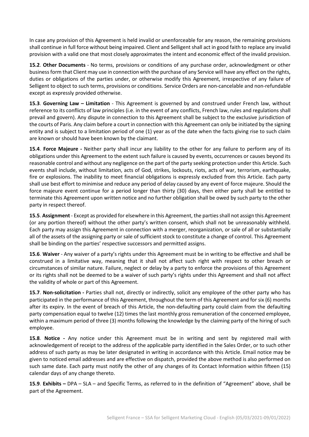In case any provision of this Agreement is held invalid or unenforceable for any reason, the remaining provisions shall continue in full force without being impaired. Client and Selligent shall act in good faith to replace any invalid provision with a valid one that most closely approximates the intent and economic effect of the invalid provision.

**15.2**. **Other Documents** - No terms, provisions or conditions of any purchase order, acknowledgment or other business form that Client may use in connection with the purchase of any Service will have any effect on the rights, duties or obligations of the parties under, or otherwise modify this Agreement, irrespective of any failure of Selligent to object to such terms, provisions or conditions. Service Orders are non-cancelable and non-refundable except as expressly provided otherwise.

**15.3**. **Governing Law – Limitation** - This Agreement is governed by and construed under French law, without reference to its conflicts of law principles (i.e. in the event of any conflicts, French law, rules and regulations shall prevail and govern). Any dispute in connection to this Agreement shall be subject to the exclusive jurisdiction of the courts of Paris. Any claim before a court in connection with this Agreement can only be initiated by the signing entity and is subject to a limitation period of one (1) year as of the date when the facts giving rise to such claim are known or should have been known by the claimant.

**15.4**. **Force Majeure -** Neither party shall incur any liability to the other for any failure to perform any of its obligations under this Agreement to the extent such failure is caused by events, occurrences or causes beyond its reasonable control and without any negligence on the part of the party seeking protection under this Article. Such events shall include, without limitation, acts of God, strikes, lockouts, riots, acts of war, terrorism, earthquake, fire or explosions. The inability to meet financial obligations is expressly excluded from this Article. Each party shall use best effort to minimise and reduce any period of delay caused by any event of force majeure. Should the force majeure event continue for a period longer than thirty (30) days, then either party shall be entitled to terminate this Agreement upon written notice and no further obligation shall be owed by such party to the other party in respect thereof.

**15.5**. **Assignment** - Except as provided for elsewhere in this Agreement, the parties shall not assign this Agreement (or any portion thereof) without the other party's written consent, which shall not be unreasonably withheld. Each party may assign this Agreement in connection with a merger, reorganization, or sale of all or substantially all of the assets of the assigning party or sale of sufficient stock to constitute a change of control. This Agreement shall be binding on the parties' respective successors and permitted assigns.

**15.6**. **Waiver** - Any waiver of a party's rights under this Agreement must be in writing to be effective and shall be construed in a limitative way, meaning that it shall not affect such right with respect to other breach or circumstances of similar nature. Failure, neglect or delay by a party to enforce the provisions of this Agreement or its rights shall not be deemed to be a waiver of such party's rights under this Agreement and shall not affect the validity of whole or part of this Agreement.

**15.7**. **Non-solicitation -** Parties shall not, directly or indirectly, solicit any employee of the other party who has participated in the performance of this Agreement, throughout the term of this Agreement and for six (6) months after its expiry. In the event of breach of this Article, the non-defaulting party could claim from the defaulting party compensation equal to twelve (12) times the last monthly gross remuneration of the concerned employee, within a maximum period of three (3) months following the knowledge by the claiming party of the hiring of such employee.

**15.8**. **Notice -** Any notice under this Agreement must be in writing and sent by registered mail with acknowledgement of receipt to the address of the applicable party identified in the Sales Order, or to such other address of such party as may be later designated in writing in accordance with this Article. Email notice may be given to noticed email addresses and are effective on dispatch, provided the above method is also performed on such same date. Each party must notify the other of any changes of its Contact Information within fifteen (15) calendar days of any change thereto.

**15.9**. **Exhibits –** DPA – SLA – and Specific Terms, as referred to in the definition of "Agreement" above, shall be part of the Agreement.